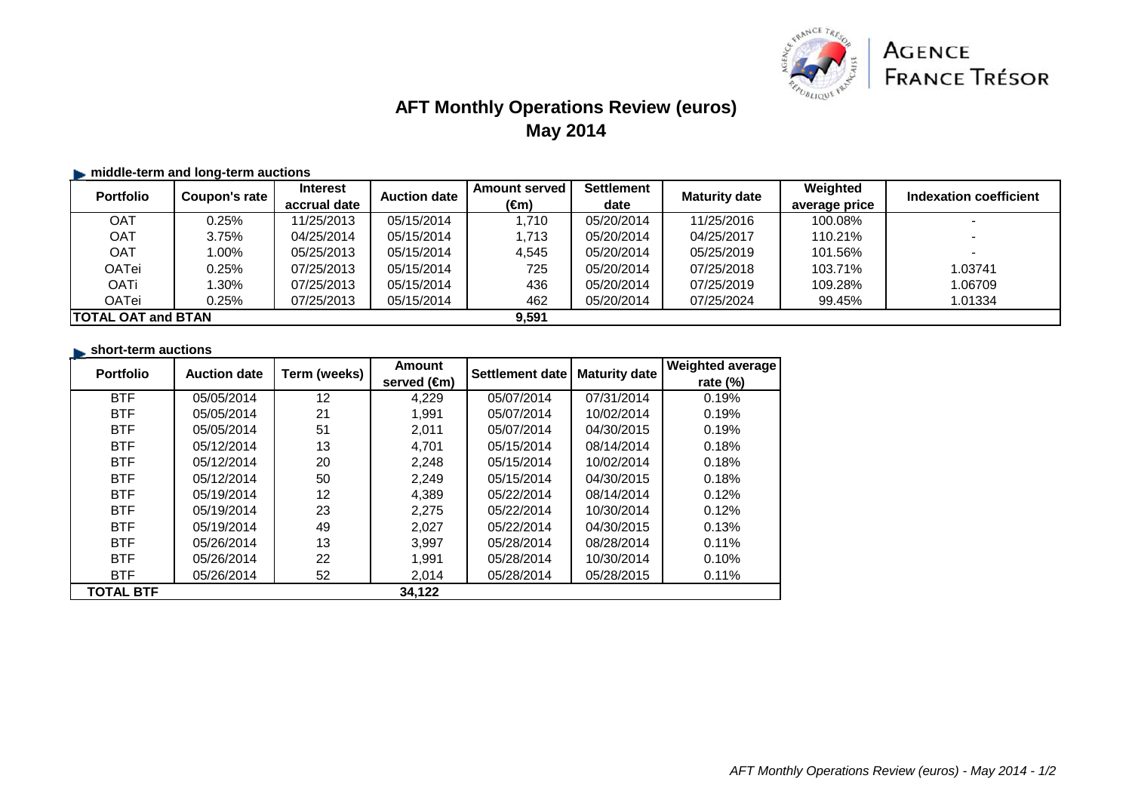

## **AFT Monthly Operations Review (euros)May 2014**

#### $\blacktriangleright$  **middle-term and long-term auctions**

| <b>Portfolio</b>           | Coupon's rate | <b>Interest</b> | <b>Auction date</b> | <b>Amount served</b> | <b>Settlement</b> | <b>Maturity date</b> | Weighted      | Indexation coefficient |
|----------------------------|---------------|-----------------|---------------------|----------------------|-------------------|----------------------|---------------|------------------------|
|                            |               | accrual date    |                     | (€m)                 | date              |                      | average price |                        |
| OAT                        | $0.25\%$      | 11/25/2013      | 05/15/2014          | 1.710                | 05/20/2014        | 11/25/2016           | 100.08%       |                        |
| <b>OAT</b>                 | 3.75%         | 04/25/2014      | 05/15/2014          | 1,713                | 05/20/2014        | 04/25/2017           | 110.21%       |                        |
| <b>OAT</b>                 | $0.00\%$      | 05/25/2013      | 05/15/2014          | 4.545                | 05/20/2014        | 05/25/2019           | 101.56%       |                        |
| OATei                      | $0.25\%$      | 07/25/2013      | 05/15/2014          | 725                  | 05/20/2014        | 07/25/2018           | 103.71%       | 1.03741                |
| OATi                       | $.30\%$       | 07/25/2013      | 05/15/2014          | 436                  | 05/20/2014        | 07/25/2019           | 109.28%       | 1.06709                |
| OATei                      | $0.25\%$      | 07/25/2013      | 05/15/2014          | 462                  | 05/20/2014        | 07/25/2024           | 99.45%        | 1.01334                |
| <b>ITOTAL OAT and BTAN</b> |               |                 |                     | 9,591                |                   |                      |               |                        |

| <b>Portfolio</b> | <b>Auction date</b> | Term (weeks)      | <b>Amount</b><br>served (€m) | Settlement date | <b>Maturity date</b> | <b>Weighted average</b><br>rate $(\%)$ |
|------------------|---------------------|-------------------|------------------------------|-----------------|----------------------|----------------------------------------|
| <b>BTF</b>       | 05/05/2014          | $12 \overline{ }$ | 4,229                        | 05/07/2014      | 07/31/2014           | 0.19%                                  |
| <b>BTF</b>       | 05/05/2014          | 21                | 1,991                        | 05/07/2014      | 10/02/2014           | 0.19%                                  |
| <b>BTF</b>       | 05/05/2014          | 51                | 2,011                        | 05/07/2014      | 04/30/2015           | 0.19%                                  |
| <b>BTF</b>       | 05/12/2014          | 13                | 4.701                        | 05/15/2014      | 08/14/2014           | 0.18%                                  |
| <b>BTF</b>       | 05/12/2014          | 20                | 2,248                        | 05/15/2014      | 10/02/2014           | 0.18%                                  |
| <b>BTF</b>       | 05/12/2014          | 50                | 2,249                        | 05/15/2014      | 04/30/2015           | 0.18%                                  |
| <b>BTF</b>       | 05/19/2014          | 12                | 4,389                        | 05/22/2014      | 08/14/2014           | 0.12%                                  |
| <b>BTF</b>       | 05/19/2014          | 23                | 2,275                        | 05/22/2014      | 10/30/2014           | 0.12%                                  |
| <b>BTF</b>       | 05/19/2014          | 49                | 2,027                        | 05/22/2014      | 04/30/2015           | 0.13%                                  |
| <b>BTF</b>       | 05/26/2014          | 13                | 3,997                        | 05/28/2014      | 08/28/2014           | 0.11%                                  |
| <b>BTF</b>       | 05/26/2014          | 22                | 1,991                        | 05/28/2014      | 10/30/2014           | 0.10%                                  |
| <b>BTF</b>       | 05/26/2014          | 52                | 2,014                        | 05/28/2014      | 05/28/2015           | 0.11%                                  |
| <b>TOTAL BTF</b> |                     |                   | 34,122                       |                 |                      |                                        |